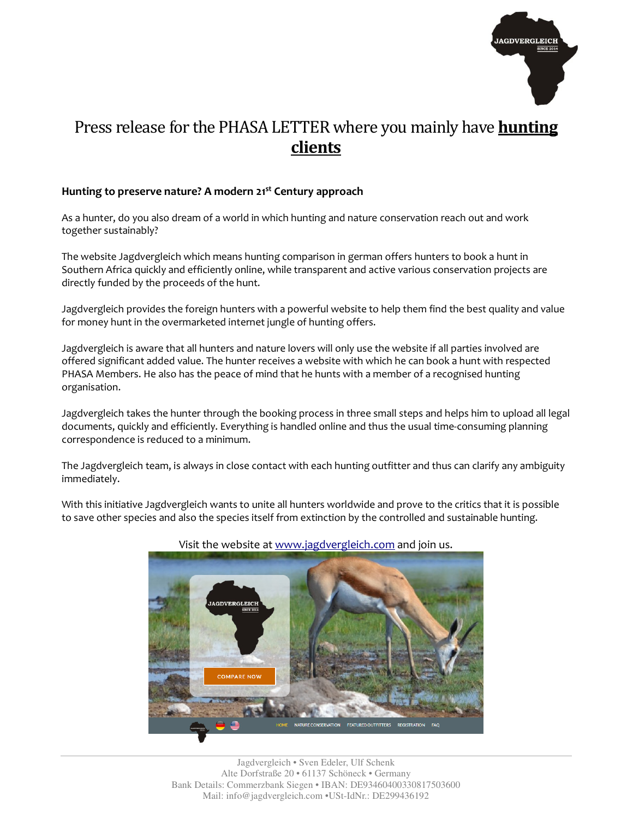

## Press release for the PHASA LETTER where you mainly have **hunting clients**

## **Hunting to preserve nature? A modern 21st Century approach**

As a hunter, do you also dream of a world in which hunting and nature conservation reach out and work together sustainably?

The website Jagdvergleich which means hunting comparison in german offers hunters to book a hunt in Southern Africa quickly and efficiently online, while transparent and active various conservation projects are directly funded by the proceeds of the hunt.

Jagdvergleich provides the foreign hunters with a powerful website to help them find the best quality and value for money hunt in the overmarketed internet jungle of hunting offers.

Jagdvergleich is aware that all hunters and nature lovers will only use the website if all parties involved are offered significant added value. The hunter receives a website with which he can book a hunt with respected PHASA Members. He also has the peace of mind that he hunts with a member of a recognised hunting organisation.

Jagdvergleich takes the hunter through the booking process in three small steps and helps him to upload all legal documents, quickly and efficiently. Everything is handled online and thus the usual time-consuming planning correspondence is reduced to a minimum.

The Jagdvergleich team, is always in close contact with each hunting outfitter and thus can clarify any ambiguity immediately.

With this initiative Jagdvergleich wants to unite all hunters worldwide and prove to the critics that it is possible to save other species and also the species itself from extinction by the controlled and sustainable hunting.



Visit the website at www.jagdvergleich.com and join us.